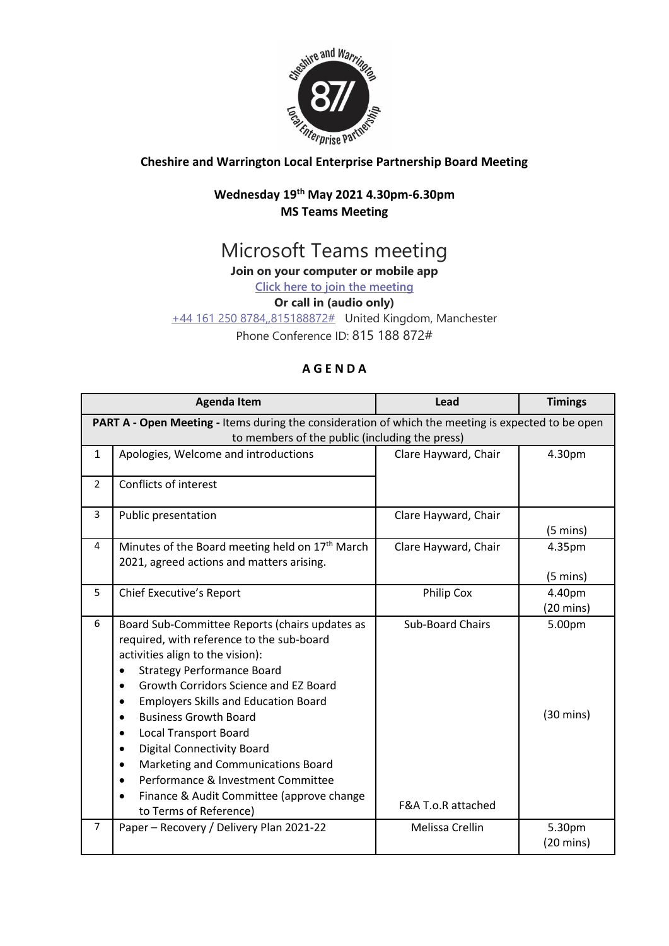

## **Cheshire and Warrington Local Enterprise Partnership Board Meeting**

### **Wednesday 19 th May 2021 4.30pm-6.30pm MS Teams Meeting**

# Microsoft Teams meeting

**Join on your computer or mobile app**

**[Click here to join the meeting](https://teams.microsoft.com/l/meetup-join/19%3ameeting_MTlhN2VlNjItMDczYS00YzMwLThkMTctMjA4OWUzY2YzZjg0%40thread.v2/0?context=%7b%22Tid%22%3a%229fdc30f0-07e8-4ece-96e4-5daef8d479d1%22%2c%22Oid%22%3a%226c5251ba-0d3a-40c0-b933-9dcb03aa1bd1%22%7d)**

#### **Or call in (audio only)**

[+44 161 250 8784,,815188872#](tel:+441612508784,,815188872# ) United Kingdom, Manchester

Phone Conference ID: 815 188 872#

## **A G E N D A**

|                                                                                                    | <b>Agenda Item</b>                                                                                                                                                                                                                                                                                                                                                                                                                                                                                                                                                                         | Lead                                          | <b>Timings</b>                |  |
|----------------------------------------------------------------------------------------------------|--------------------------------------------------------------------------------------------------------------------------------------------------------------------------------------------------------------------------------------------------------------------------------------------------------------------------------------------------------------------------------------------------------------------------------------------------------------------------------------------------------------------------------------------------------------------------------------------|-----------------------------------------------|-------------------------------|--|
| PART A - Open Meeting - Items during the consideration of which the meeting is expected to be open |                                                                                                                                                                                                                                                                                                                                                                                                                                                                                                                                                                                            |                                               |                               |  |
| to members of the public (including the press)                                                     |                                                                                                                                                                                                                                                                                                                                                                                                                                                                                                                                                                                            |                                               |                               |  |
| $\mathbf{1}$                                                                                       | Apologies, Welcome and introductions                                                                                                                                                                                                                                                                                                                                                                                                                                                                                                                                                       | Clare Hayward, Chair                          | 4.30pm                        |  |
| $\overline{2}$                                                                                     | Conflicts of interest                                                                                                                                                                                                                                                                                                                                                                                                                                                                                                                                                                      |                                               |                               |  |
| 3                                                                                                  | Public presentation                                                                                                                                                                                                                                                                                                                                                                                                                                                                                                                                                                        | Clare Hayward, Chair                          | $(5 \text{ mins})$            |  |
| 4                                                                                                  | Minutes of the Board meeting held on 17 <sup>th</sup> March<br>2021, agreed actions and matters arising.                                                                                                                                                                                                                                                                                                                                                                                                                                                                                   | Clare Hayward, Chair                          | 4.35pm<br>$(5 \text{ mins})$  |  |
| 5                                                                                                  | Chief Executive's Report                                                                                                                                                                                                                                                                                                                                                                                                                                                                                                                                                                   | Philip Cox                                    | 4.40pm<br>$(20 \text{ mins})$ |  |
| 6                                                                                                  | Board Sub-Committee Reports (chairs updates as<br>required, with reference to the sub-board<br>activities align to the vision):<br><b>Strategy Performance Board</b><br>Growth Corridors Science and EZ Board<br>$\bullet$<br><b>Employers Skills and Education Board</b><br>$\bullet$<br><b>Business Growth Board</b><br><b>Local Transport Board</b><br>$\bullet$<br><b>Digital Connectivity Board</b><br>$\bullet$<br>Marketing and Communications Board<br>٠<br>Performance & Investment Committee<br>$\bullet$<br>Finance & Audit Committee (approve change<br>to Terms of Reference) | <b>Sub-Board Chairs</b><br>F&A T.o.R attached | 5.00pm<br>$(30 \text{ mins})$ |  |
| $\overline{7}$                                                                                     | Paper - Recovery / Delivery Plan 2021-22                                                                                                                                                                                                                                                                                                                                                                                                                                                                                                                                                   | Melissa Crellin                               | 5.30pm<br>$(20 \text{ mins})$ |  |